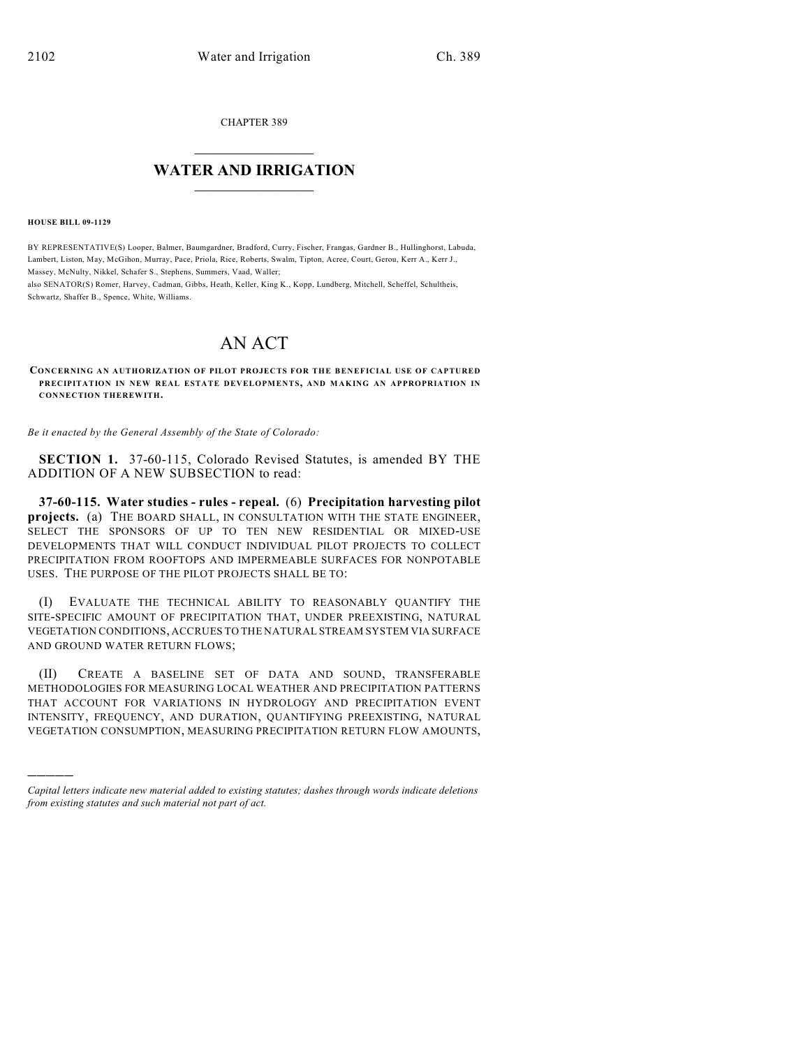CHAPTER 389

## $\mathcal{L}_\text{max}$  . The set of the set of the set of the set of the set of the set of the set of the set of the set of the set of the set of the set of the set of the set of the set of the set of the set of the set of the set **WATER AND IRRIGATION**  $\_$   $\_$

**HOUSE BILL 09-1129**

)))))

BY REPRESENTATIVE(S) Looper, Balmer, Baumgardner, Bradford, Curry, Fischer, Frangas, Gardner B., Hullinghorst, Labuda, Lambert, Liston, May, McGihon, Murray, Pace, Priola, Rice, Roberts, Swalm, Tipton, Acree, Court, Gerou, Kerr A., Kerr J., Massey, McNulty, Nikkel, Schafer S., Stephens, Summers, Vaad, Waller; also SENATOR(S) Romer, Harvey, Cadman, Gibbs, Heath, Keller, King K., Kopp, Lundberg, Mitchell, Scheffel, Schultheis, Schwartz, Shaffer B., Spence, White, Williams.

## AN ACT

**CONCERNING AN AUTHORIZATION OF PILOT PROJECTS FOR THE BENEFICIAL USE OF CAPTURED PRECIPITATION IN NEW REAL ESTATE DEVELOPMENTS, AND MAKING AN APPROPRIATION IN CONNECTION THEREWITH.**

*Be it enacted by the General Assembly of the State of Colorado:*

**SECTION 1.** 37-60-115, Colorado Revised Statutes, is amended BY THE ADDITION OF A NEW SUBSECTION to read:

**37-60-115. Water studies - rules - repeal.** (6) **Precipitation harvesting pilot projects.** (a) THE BOARD SHALL, IN CONSULTATION WITH THE STATE ENGINEER, SELECT THE SPONSORS OF UP TO TEN NEW RESIDENTIAL OR MIXED-USE DEVELOPMENTS THAT WILL CONDUCT INDIVIDUAL PILOT PROJECTS TO COLLECT PRECIPITATION FROM ROOFTOPS AND IMPERMEABLE SURFACES FOR NONPOTABLE USES. THE PURPOSE OF THE PILOT PROJECTS SHALL BE TO:

(I) EVALUATE THE TECHNICAL ABILITY TO REASONABLY QUANTIFY THE SITE-SPECIFIC AMOUNT OF PRECIPITATION THAT, UNDER PREEXISTING, NATURAL VEGETATION CONDITIONS, ACCRUES TO THE NATURAL STREAM SYSTEM VIA SURFACE AND GROUND WATER RETURN FLOWS;

(II) CREATE A BASELINE SET OF DATA AND SOUND, TRANSFERABLE METHODOLOGIES FOR MEASURING LOCAL WEATHER AND PRECIPITATION PATTERNS THAT ACCOUNT FOR VARIATIONS IN HYDROLOGY AND PRECIPITATION EVENT INTENSITY, FREQUENCY, AND DURATION, QUANTIFYING PREEXISTING, NATURAL VEGETATION CONSUMPTION, MEASURING PRECIPITATION RETURN FLOW AMOUNTS,

*Capital letters indicate new material added to existing statutes; dashes through words indicate deletions from existing statutes and such material not part of act.*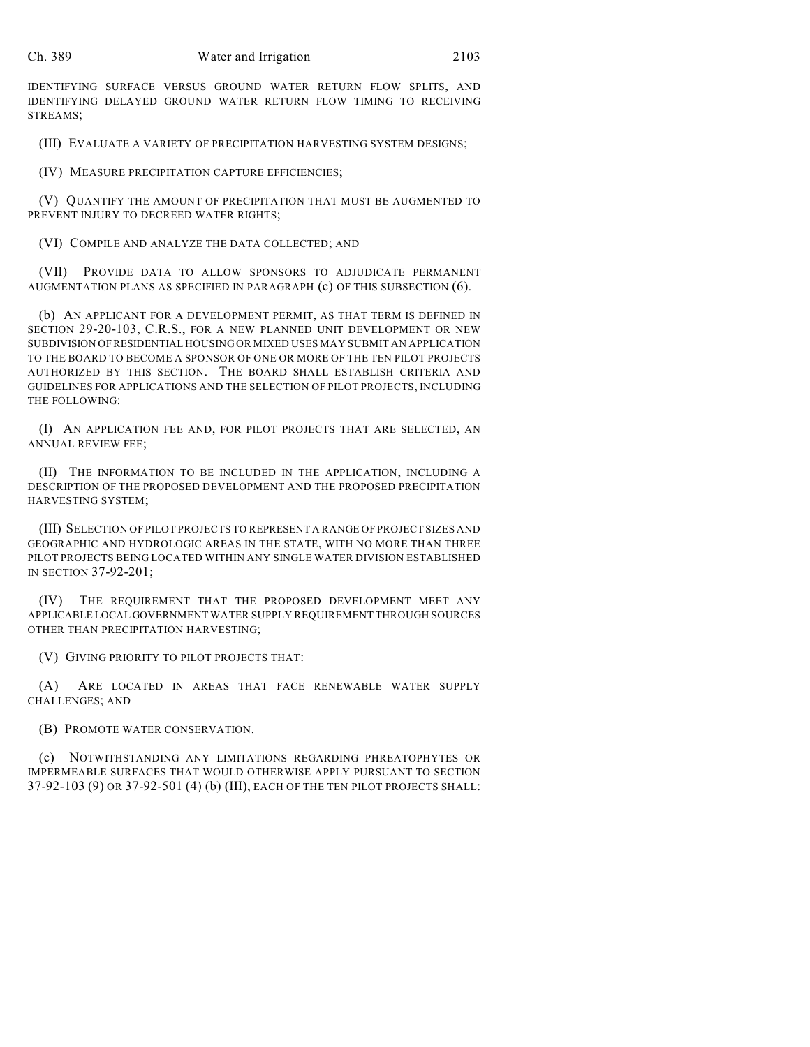IDENTIFYING SURFACE VERSUS GROUND WATER RETURN FLOW SPLITS, AND IDENTIFYING DELAYED GROUND WATER RETURN FLOW TIMING TO RECEIVING STREAMS;

(III) EVALUATE A VARIETY OF PRECIPITATION HARVESTING SYSTEM DESIGNS;

(IV) MEASURE PRECIPITATION CAPTURE EFFICIENCIES;

(V) QUANTIFY THE AMOUNT OF PRECIPITATION THAT MUST BE AUGMENTED TO PREVENT INJURY TO DECREED WATER RIGHTS;

(VI) COMPILE AND ANALYZE THE DATA COLLECTED; AND

(VII) PROVIDE DATA TO ALLOW SPONSORS TO ADJUDICATE PERMANENT AUGMENTATION PLANS AS SPECIFIED IN PARAGRAPH (c) OF THIS SUBSECTION (6).

(b) AN APPLICANT FOR A DEVELOPMENT PERMIT, AS THAT TERM IS DEFINED IN SECTION 29-20-103, C.R.S., FOR A NEW PLANNED UNIT DEVELOPMENT OR NEW SUBDIVISION OF RESIDENTIAL HOUSING OR MIXED USES MAY SUBMIT AN APPLICATION TO THE BOARD TO BECOME A SPONSOR OF ONE OR MORE OF THE TEN PILOT PROJECTS AUTHORIZED BY THIS SECTION. THE BOARD SHALL ESTABLISH CRITERIA AND GUIDELINES FOR APPLICATIONS AND THE SELECTION OF PILOT PROJECTS, INCLUDING THE FOLLOWING:

(I) AN APPLICATION FEE AND, FOR PILOT PROJECTS THAT ARE SELECTED, AN ANNUAL REVIEW FEE;

(II) THE INFORMATION TO BE INCLUDED IN THE APPLICATION, INCLUDING A DESCRIPTION OF THE PROPOSED DEVELOPMENT AND THE PROPOSED PRECIPITATION HARVESTING SYSTEM;

(III) SELECTION OF PILOT PROJECTS TO REPRESENT A RANGE OF PROJECT SIZES AND GEOGRAPHIC AND HYDROLOGIC AREAS IN THE STATE, WITH NO MORE THAN THREE PILOT PROJECTS BEING LOCATED WITHIN ANY SINGLE WATER DIVISION ESTABLISHED IN SECTION 37-92-201;

(IV) THE REQUIREMENT THAT THE PROPOSED DEVELOPMENT MEET ANY APPLICABLE LOCAL GOVERNMENT WATER SUPPLY REQUIREMENT THROUGH SOURCES OTHER THAN PRECIPITATION HARVESTING;

(V) GIVING PRIORITY TO PILOT PROJECTS THAT:

(A) ARE LOCATED IN AREAS THAT FACE RENEWABLE WATER SUPPLY CHALLENGES; AND

(B) PROMOTE WATER CONSERVATION.

(c) NOTWITHSTANDING ANY LIMITATIONS REGARDING PHREATOPHYTES OR IMPERMEABLE SURFACES THAT WOULD OTHERWISE APPLY PURSUANT TO SECTION 37-92-103 (9) OR 37-92-501 (4) (b) (III), EACH OF THE TEN PILOT PROJECTS SHALL: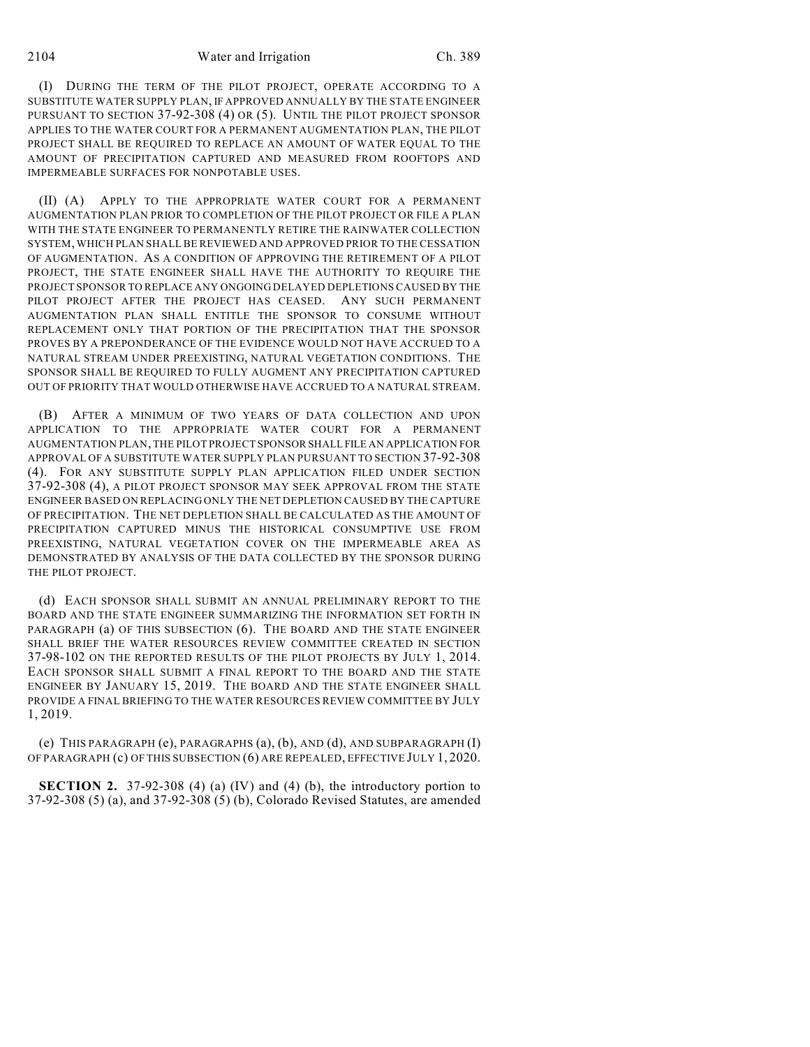(I) DURING THE TERM OF THE PILOT PROJECT, OPERATE ACCORDING TO A SUBSTITUTE WATER SUPPLY PLAN, IF APPROVED ANNUALLY BY THE STATE ENGINEER PURSUANT TO SECTION 37-92-308 (4) OR (5). UNTIL THE PILOT PROJECT SPONSOR APPLIES TO THE WATER COURT FOR A PERMANENT AUGMENTATION PLAN, THE PILOT PROJECT SHALL BE REQUIRED TO REPLACE AN AMOUNT OF WATER EQUAL TO THE AMOUNT OF PRECIPITATION CAPTURED AND MEASURED FROM ROOFTOPS AND IMPERMEABLE SURFACES FOR NONPOTABLE USES.

(II) (A) APPLY TO THE APPROPRIATE WATER COURT FOR A PERMANENT AUGMENTATION PLAN PRIOR TO COMPLETION OF THE PILOT PROJECT OR FILE A PLAN WITH THE STATE ENGINEER TO PERMANENTLY RETIRE THE RAINWATER COLLECTION SYSTEM, WHICH PLAN SHALL BE REVIEWED AND APPROVED PRIOR TO THE CESSATION OF AUGMENTATION. AS A CONDITION OF APPROVING THE RETIREMENT OF A PILOT PROJECT, THE STATE ENGINEER SHALL HAVE THE AUTHORITY TO REQUIRE THE PROJECT SPONSOR TO REPLACE ANY ONGOING DELAYED DEPLETIONS CAUSED BY THE PILOT PROJECT AFTER THE PROJECT HAS CEASED. ANY SUCH PERMANENT AUGMENTATION PLAN SHALL ENTITLE THE SPONSOR TO CONSUME WITHOUT REPLACEMENT ONLY THAT PORTION OF THE PRECIPITATION THAT THE SPONSOR PROVES BY A PREPONDERANCE OF THE EVIDENCE WOULD NOT HAVE ACCRUED TO A NATURAL STREAM UNDER PREEXISTING, NATURAL VEGETATION CONDITIONS. THE SPONSOR SHALL BE REQUIRED TO FULLY AUGMENT ANY PRECIPITATION CAPTURED OUT OF PRIORITY THAT WOULD OTHERWISE HAVE ACCRUED TO A NATURAL STREAM.

(B) AFTER A MINIMUM OF TWO YEARS OF DATA COLLECTION AND UPON APPLICATION TO THE APPROPRIATE WATER COURT FOR A PERMANENT AUGMENTATION PLAN, THE PILOT PROJECT SPONSOR SHALL FILE AN APPLICATION FOR APPROVAL OF A SUBSTITUTE WATER SUPPLY PLAN PURSUANT TO SECTION 37-92-308 (4). FOR ANY SUBSTITUTE SUPPLY PLAN APPLICATION FILED UNDER SECTION 37-92-308 (4), A PILOT PROJECT SPONSOR MAY SEEK APPROVAL FROM THE STATE ENGINEER BASED ON REPLACING ONLY THE NET DEPLETION CAUSED BY THE CAPTURE OF PRECIPITATION. THE NET DEPLETION SHALL BE CALCULATED AS THE AMOUNT OF PRECIPITATION CAPTURED MINUS THE HISTORICAL CONSUMPTIVE USE FROM PREEXISTING, NATURAL VEGETATION COVER ON THE IMPERMEABLE AREA AS DEMONSTRATED BY ANALYSIS OF THE DATA COLLECTED BY THE SPONSOR DURING THE PILOT PROJECT.

(d) EACH SPONSOR SHALL SUBMIT AN ANNUAL PRELIMINARY REPORT TO THE BOARD AND THE STATE ENGINEER SUMMARIZING THE INFORMATION SET FORTH IN PARAGRAPH (a) OF THIS SUBSECTION (6). THE BOARD AND THE STATE ENGINEER SHALL BRIEF THE WATER RESOURCES REVIEW COMMITTEE CREATED IN SECTION 37-98-102 ON THE REPORTED RESULTS OF THE PILOT PROJECTS BY JULY 1, 2014. EACH SPONSOR SHALL SUBMIT A FINAL REPORT TO THE BOARD AND THE STATE ENGINEER BY JANUARY 15, 2019. THE BOARD AND THE STATE ENGINEER SHALL PROVIDE A FINAL BRIEFING TO THE WATER RESOURCES REVIEW COMMITTEE BY JULY 1, 2019.

(e) THIS PARAGRAPH (e), PARAGRAPHS (a), (b), AND (d), AND SUBPARAGRAPH (I) OF PARAGRAPH (c) OF THIS SUBSECTION (6) ARE REPEALED, EFFECTIVE JULY 1, 2020.

**SECTION 2.** 37-92-308 (4) (a) (IV) and (4) (b), the introductory portion to 37-92-308 (5) (a), and 37-92-308 (5) (b), Colorado Revised Statutes, are amended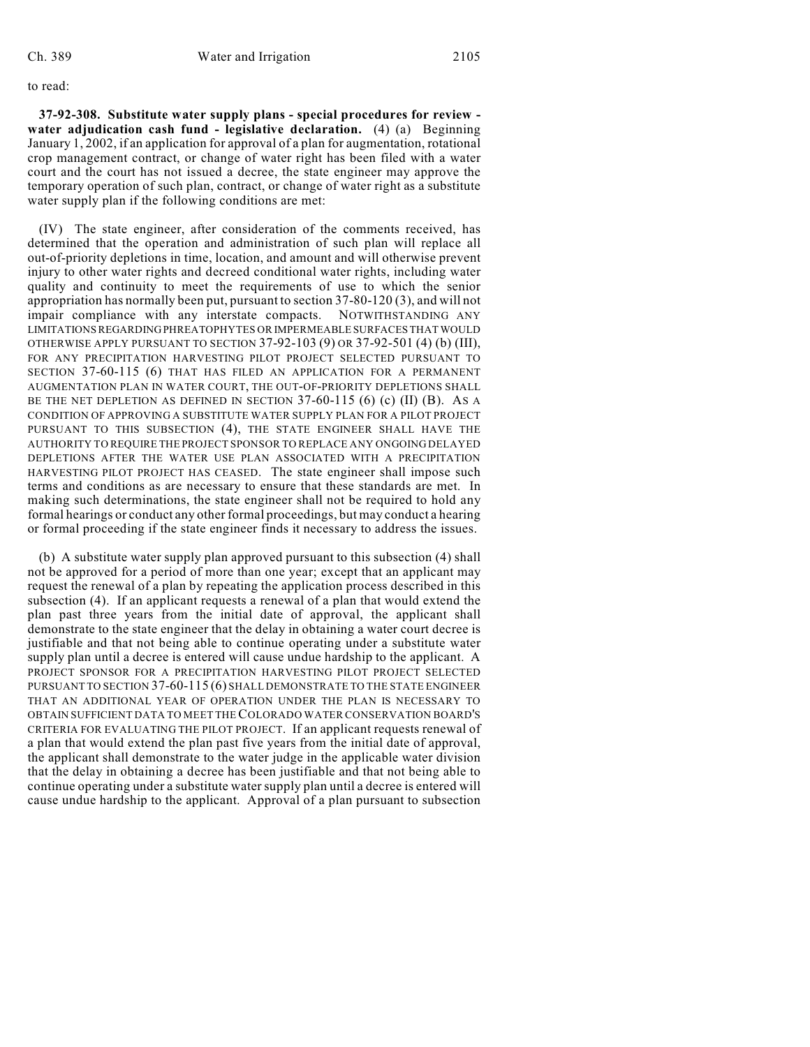to read:

**37-92-308. Substitute water supply plans - special procedures for review water adjudication cash fund - legislative declaration.** (4) (a) Beginning January 1, 2002, if an application for approval of a plan for augmentation, rotational crop management contract, or change of water right has been filed with a water court and the court has not issued a decree, the state engineer may approve the temporary operation of such plan, contract, or change of water right as a substitute water supply plan if the following conditions are met:

(IV) The state engineer, after consideration of the comments received, has determined that the operation and administration of such plan will replace all out-of-priority depletions in time, location, and amount and will otherwise prevent injury to other water rights and decreed conditional water rights, including water quality and continuity to meet the requirements of use to which the senior appropriation has normally been put, pursuant to section 37-80-120 (3), and will not impair compliance with any interstate compacts. NOTWITHSTANDING ANY LIMITATIONS REGARDING PHREATOPHYTES OR IMPERMEABLE SURFACES THAT WOULD OTHERWISE APPLY PURSUANT TO SECTION 37-92-103 (9) OR 37-92-501 (4) (b) (III), FOR ANY PRECIPITATION HARVESTING PILOT PROJECT SELECTED PURSUANT TO SECTION 37-60-115 (6) THAT HAS FILED AN APPLICATION FOR A PERMANENT AUGMENTATION PLAN IN WATER COURT, THE OUT-OF-PRIORITY DEPLETIONS SHALL BE THE NET DEPLETION AS DEFINED IN SECTION  $37-60-115$  (6) (c) (II) (B). As A CONDITION OF APPROVING A SUBSTITUTE WATER SUPPLY PLAN FOR A PILOT PROJECT PURSUANT TO THIS SUBSECTION (4), THE STATE ENGINEER SHALL HAVE THE AUTHORITY TO REQUIRE THE PROJECT SPONSOR TO REPLACE ANY ONGOING DELAYED DEPLETIONS AFTER THE WATER USE PLAN ASSOCIATED WITH A PRECIPITATION HARVESTING PILOT PROJECT HAS CEASED. The state engineer shall impose such terms and conditions as are necessary to ensure that these standards are met. In making such determinations, the state engineer shall not be required to hold any formal hearings or conduct any other formal proceedings, but may conduct a hearing or formal proceeding if the state engineer finds it necessary to address the issues.

(b) A substitute water supply plan approved pursuant to this subsection (4) shall not be approved for a period of more than one year; except that an applicant may request the renewal of a plan by repeating the application process described in this subsection (4). If an applicant requests a renewal of a plan that would extend the plan past three years from the initial date of approval, the applicant shall demonstrate to the state engineer that the delay in obtaining a water court decree is justifiable and that not being able to continue operating under a substitute water supply plan until a decree is entered will cause undue hardship to the applicant. A PROJECT SPONSOR FOR A PRECIPITATION HARVESTING PILOT PROJECT SELECTED PURSUANT TO SECTION 37-60-115 (6) SHALL DEMONSTRATE TO THE STATE ENGINEER THAT AN ADDITIONAL YEAR OF OPERATION UNDER THE PLAN IS NECESSARY TO OBTAIN SUFFICIENT DATA TO MEET THE COLORADO WATER CONSERVATION BOARD'S CRITERIA FOR EVALUATING THE PILOT PROJECT. If an applicant requests renewal of a plan that would extend the plan past five years from the initial date of approval, the applicant shall demonstrate to the water judge in the applicable water division that the delay in obtaining a decree has been justifiable and that not being able to continue operating under a substitute water supply plan until a decree is entered will cause undue hardship to the applicant. Approval of a plan pursuant to subsection